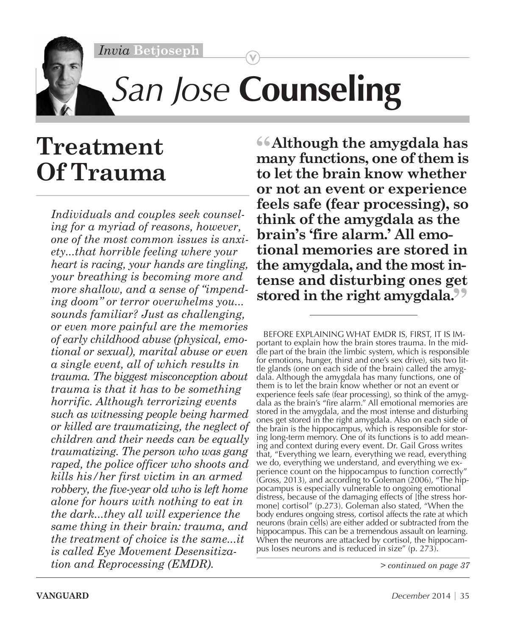*Invia* **Betjoseph**



## *San Jose* **Counseling**

## **Treatment Of Trauma**

*Individuals and couples seek counseling for a myriad of reasons, however, one of the most common issues is anxiety...that horrible feeling where your heart is racing, your hands are tingling, your breathing is becoming more and more shallow, and a sense of "impending doom" or terror overwhelms you... sounds familiar? Just as challenging, or even more painful are the memories of early childhood abuse (physical, emotional or sexual), marital abuse or even a single event, all of which results in trauma. The biggest misconception about trauma is that it has to be something horrific. Although terrorizing events such as witnessing people being harmed or killed are traumatizing, the neglect of children and their needs can be equally traumatizing. The person who was gang raped, the police officer who shoots and kills his/her first victim in an armed robbery, the five-year old who is left home alone for hours with nothing to eat in the dark...they all will experience the same thing in their brain: trauma, and the treatment of choice is the same...it is called Eye Movement Desensitization and Reprocessing (EMDR).*

**"Although the amygdala has many functions, one of them is to let the brain know whether or not an event or experience feels safe (fear processing), so think of the amygdala as the brain's 'fire alarm.' All emotional memories are stored in the amygdala, and the most intense and disturbing ones get stored in the right amygdala."**

BEFORE EXPLAINING WHAT EMDR IS, FIRST, IT IS IMportant to explain how the brain stores trauma. In the middle part of the brain (the limbic system, which is responsible for emotions, hunger, thirst and one's sex drive), sits two little glands (one on each side of the brain) called the amygdala. Although the amygdala has many functions, one of them is to let the brain know whether or not an event or experience feels safe (fear processing), so think of the amygdala as the brain's "fire alarm." All emotional memories are stored in the amygdala, and the most intense and disturbing ones get stored in the right amygdala. Also on each side of the brain is the hippocampus, which is responsible for storing long-term memory. One of its functions is to add meaning and context during every event. Dr. Gail Gross writes that, "Everything we learn, everything we read, everything we do, everything we understand, and everything we experience count on the hippocampus to function correctly" (Gross, 2013), and according to Goleman (2006), "The hippocampus is especially vulnerable to ongoing emotional distress, because of the damaging effects of [the stress hormone] cortisol" (p.273). Goleman also stated, "When the body endures ongoing stress, cortisol affects the rate at which neurons (brain cells) are either added or subtracted from the hippocampus. This can be a tremendous assault on learning. When the neurons are attacked by cortisol, the hippocampus loses neurons and is reduced in size" (p. 273).

*> continued on page 37*